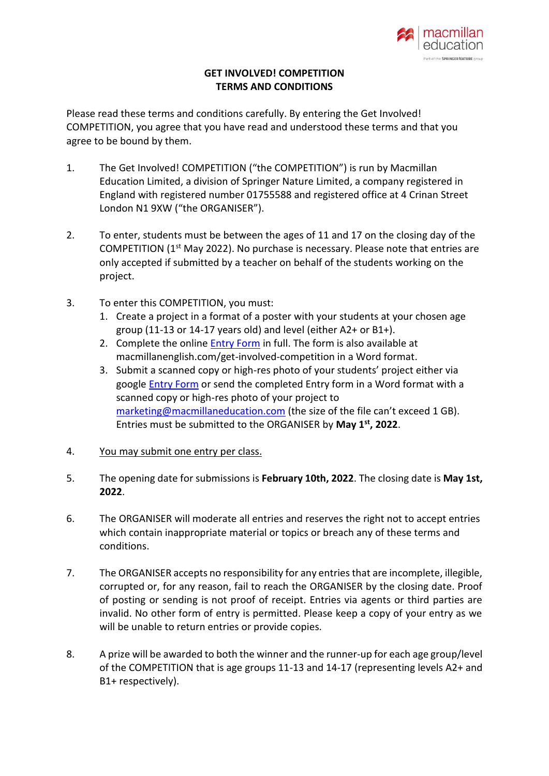

## **GET INVOLVED! COMPETITION TERMS AND CONDITIONS**

Please read these terms and conditions carefully. By entering the Get Involved! COMPETITION, you agree that you have read and understood these terms and that you agree to be bound by them.

- 1. The Get Involved! COMPETITION ("the COMPETITION") is run by Macmillan Education Limited, a division of Springer Nature Limited, a company registered in England with registered number 01755588 and registered office at 4 Crinan Street London N1 9XW ("the ORGANISER").
- 2. To enter, students must be between the ages of 11 and 17 on the closing day of the COMPETITION (1st May 2022). No purchase is necessary. Please note that entries are only accepted if submitted by a teacher on behalf of the students working on the project.
- 3. To enter this COMPETITION, you must:
	- 1. Create a project in a format of a poster with your students at your chosen age group (11-13 or 14-17 years old) and level (either A2+ or B1+).
	- 2. Complete the online [Entry Form](https://docs.google.com/forms/d/e/1FAIpQLSebcSmsMK6jiaWSXaCyj_b4rI4mMYLMfWokky8ZSHykINzSsQ/viewform) in full. The form is also available at macmillanenglish.com/get-involved-competition in a Word format.
	- 3. Submit a scanned copy or high-res photo of your students' project either via google [Entry Form](https://docs.google.com/forms/d/e/1FAIpQLSebcSmsMK6jiaWSXaCyj_b4rI4mMYLMfWokky8ZSHykINzSsQ/viewform) or send the completed Entry form in a Word format with a scanned copy or high-res photo of your project to [marketing@macmillaneducation.com](mailto:marketing@macmillaneducation.com) (the size of the file can't exceed 1 GB). Entries must be submitted to the ORGANISER by **May 1 st, 2022**.
- 4. You may submit one entry per class.
- 5. The opening date for submissions is **February 10th, 2022**. The closing date is **May 1st, 2022**.
- 6. The ORGANISER will moderate all entries and reserves the right not to accept entries which contain inappropriate material or topics or breach any of these terms and conditions.
- 7. The ORGANISER accepts no responsibility for any entries that are incomplete, illegible, corrupted or, for any reason, fail to reach the ORGANISER by the closing date. Proof of posting or sending is not proof of receipt. Entries via agents or third parties are invalid. No other form of entry is permitted. Please keep a copy of your entry as we will be unable to return entries or provide copies.
- 8. A prize will be awarded to both the winner and the runner-up for each age group/level of the COMPETITION that is age groups 11-13 and 14-17 (representing levels A2+ and B1+ respectively).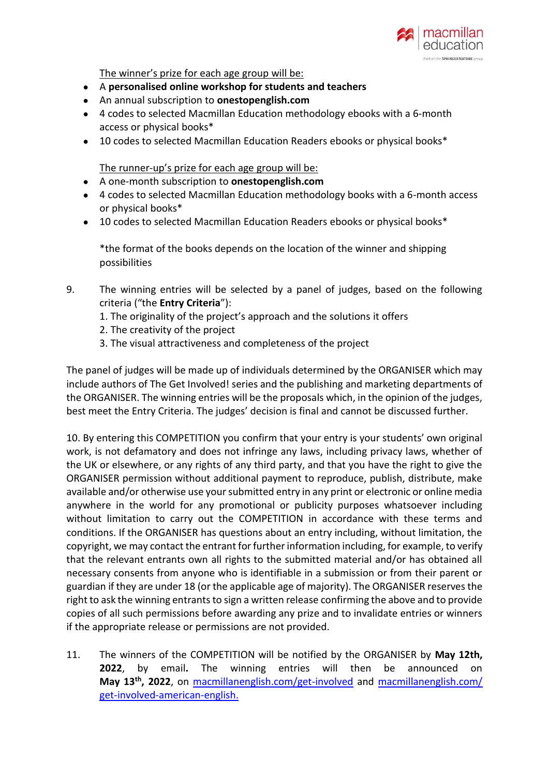

The winner's prize for each age group will be:

- A **personalised online workshop for students and teachers**
- An annual subscription to **onestopenglish.com**
- 4 codes to selected Macmillan Education methodology ebooks with a 6-month access or physical books\*
- 10 codes to selected Macmillan Education Readers ebooks or physical books\*

The runner-up's prize for each age group will be:

- A one-month subscription to **onestopenglish.com**
- 4 codes to selected Macmillan Education methodology books with a 6-month access or physical books\*
- 10 codes to selected Macmillan Education Readers ebooks or physical books\*

\*the format of the books depends on the location of the winner and shipping possibilities

- 9. The winning entries will be selected by a panel of judges, based on the following criteria ("the **Entry Criteria**"):
	- 1. The originality of the project's approach and the solutions it offers
	- 2. The creativity of the project
	- 3. The visual attractiveness and completeness of the project

The panel of judges will be made up of individuals determined by the ORGANISER which may include authors of The Get Involved! series and the publishing and marketing departments of the ORGANISER. The winning entries will be the proposals which, in the opinion of the judges, best meet the Entry Criteria. The judges' decision is final and cannot be discussed further.

10. By entering this COMPETITION you confirm that your entry is your students' own original work, is not defamatory and does not infringe any laws, including privacy laws, whether of the UK or elsewhere, or any rights of any third party, and that you have the right to give the ORGANISER permission without additional payment to reproduce, publish, distribute, make available and/or otherwise use your submitted entry in any print or electronic or online media anywhere in the world for any promotional or publicity purposes whatsoever including without limitation to carry out the COMPETITION in accordance with these terms and conditions. If the ORGANISER has questions about an entry including, without limitation, the copyright, we may contact the entrant for further information including, for example, to verify that the relevant entrants own all rights to the submitted material and/or has obtained all necessary consents from anyone who is identifiable in a submission or from their parent or guardian if they are under 18 (or the applicable age of majority). The ORGANISER reserves the right to ask the winning entrants to sign a written release confirming the above and to provide copies of all such permissions before awarding any prize and to invalidate entries or winners if the appropriate release or permissions are not provided.

11. The winners of the COMPETITION will be notified by the ORGANISER by **May 12th, 2022**, by email**.** The winning entries will then be announced on May 13<sup>th</sup>, 2022, on [macmillanenglish.com/get-involved](http://macmillanenglish.com/get-involved) and macmillanenglish.com/ [get-involved-american-english.](https://www.macmillanenglish.com/us/catalogue/courses/teenagers/get-involved-american-english/course-information)